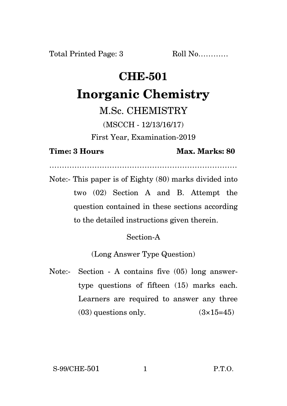## **CHE-501**

## **Inorganic Chemistry**

M.Sc. CHEMISTRY

(MSCCH - 12/13/16/17)

First Year, Examination-2019

**Time: 3 Hours Max. Marks: 80** 

…………………………………………………………………

Note:- This paper is of Eighty (80) marks divided into two (02) Section A and B. Attempt the question contained in these sections according to the detailed instructions given therein.

## Section-A

(Long Answer Type Question)

Note:- Section - A contains five (05) long answertype questions of fifteen (15) marks each. Learners are required to answer any three  $(03)$  questions only.  $(3\times15=45)$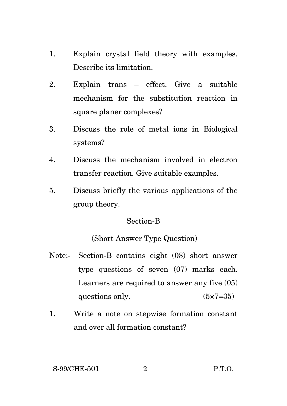- 1. Explain crystal field theory with examples. Describe its limitation.
- 2. Explain trans effect. Give a suitable mechanism for the substitution reaction in square planer complexes?
- 3. Discuss the role of metal ions in Biological systems?
- 4. Discuss the mechanism involved in electron transfer reaction. Give suitable examples.
- 5. Discuss briefly the various applications of the group theory.

## Section-B

(Short Answer Type Question)

- Note:- Section-B contains eight (08) short answer type questions of seven (07) marks each. Learners are required to answer any five (05) questions only.  $(5 \times 7 = 35)$
- 1. Write a note on stepwise formation constant and over all formation constant?